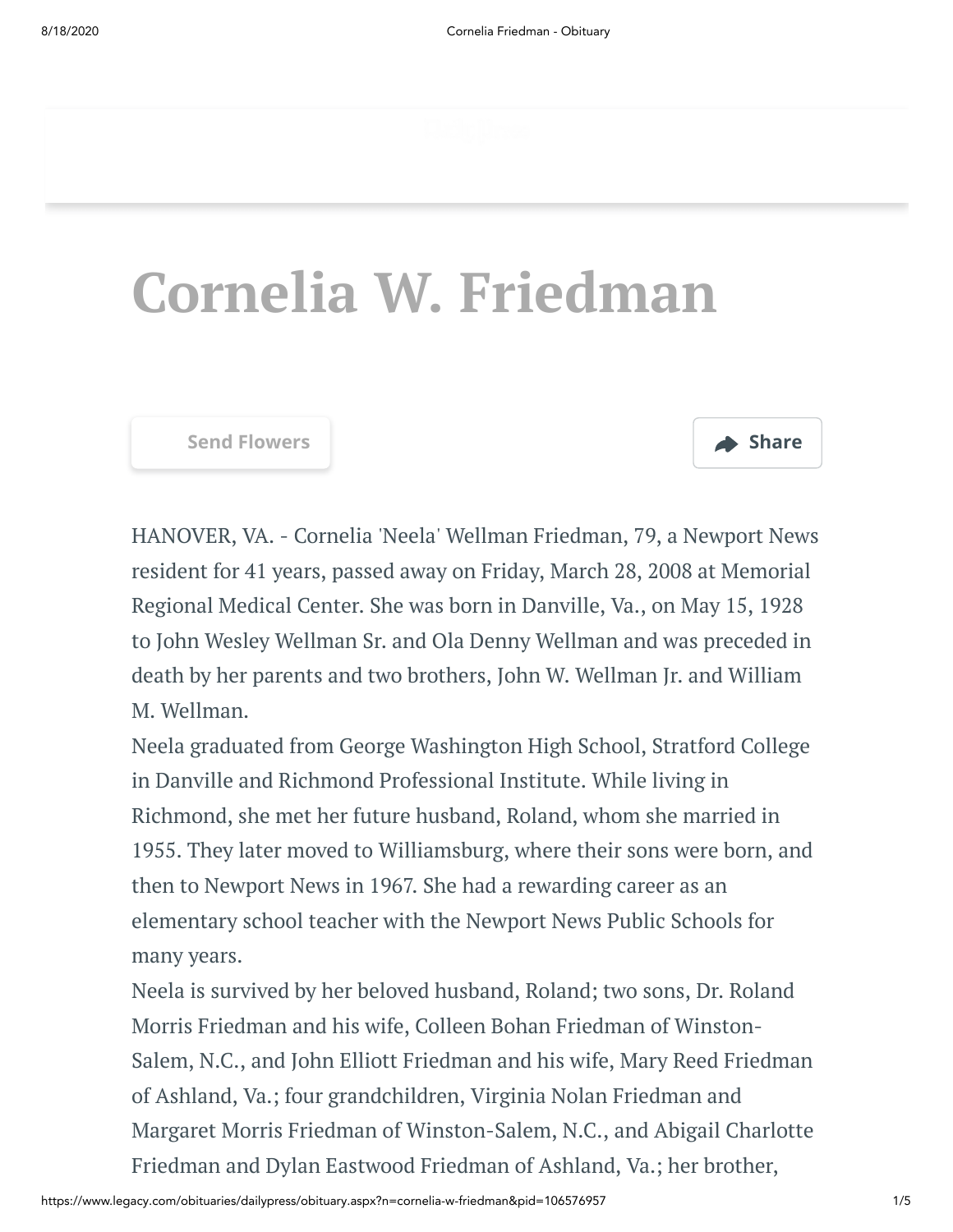# **Cornelia W. Friedman**

**[Send Flowers](https://sympathy.legacy.com/en-us/funeral-flowers/name/cornelia-friedman-funeral-flowers/p106576957/?affiliateId=340&pm=205) Share**



HANOVER, VA. - Cornelia 'Neela' Wellman Friedman, 79, a Newport News resident for 41 years, passed away on Friday, March 28, 2008 at Memorial Regional Medical Center. She was born in Danville, Va., on May 15, 1928 to John Wesley Wellman Sr. and Ola Denny Wellman and was preceded in death by her parents and two brothers, John W. Wellman Jr. and William M. Wellman.

Neela graduated from George Washington High School, Stratford College in Danville and Richmond Professional Institute. While living in Richmond, she met her future husband, Roland, whom she married in 1955. They later moved to Williamsburg, where their sons were born, and then to Newport News in 1967. She had a rewarding career as an elementary school teacher with the Newport News Public Schools for many years.

Neela is survived by her beloved husband, Roland; two sons, Dr. Roland Morris Friedman and his wife, Colleen Bohan Friedman of Winston-Salem, N.C., and John Elliott Friedman and his wife, Mary Reed Friedman of Ashland, Va.; four grandchildren, Virginia Nolan Friedman and Margaret Morris Friedman of Winston-Salem, N.C., and Abigail Charlotte Friedman and Dylan Eastwood Friedman of Ashland, Va.; her brother,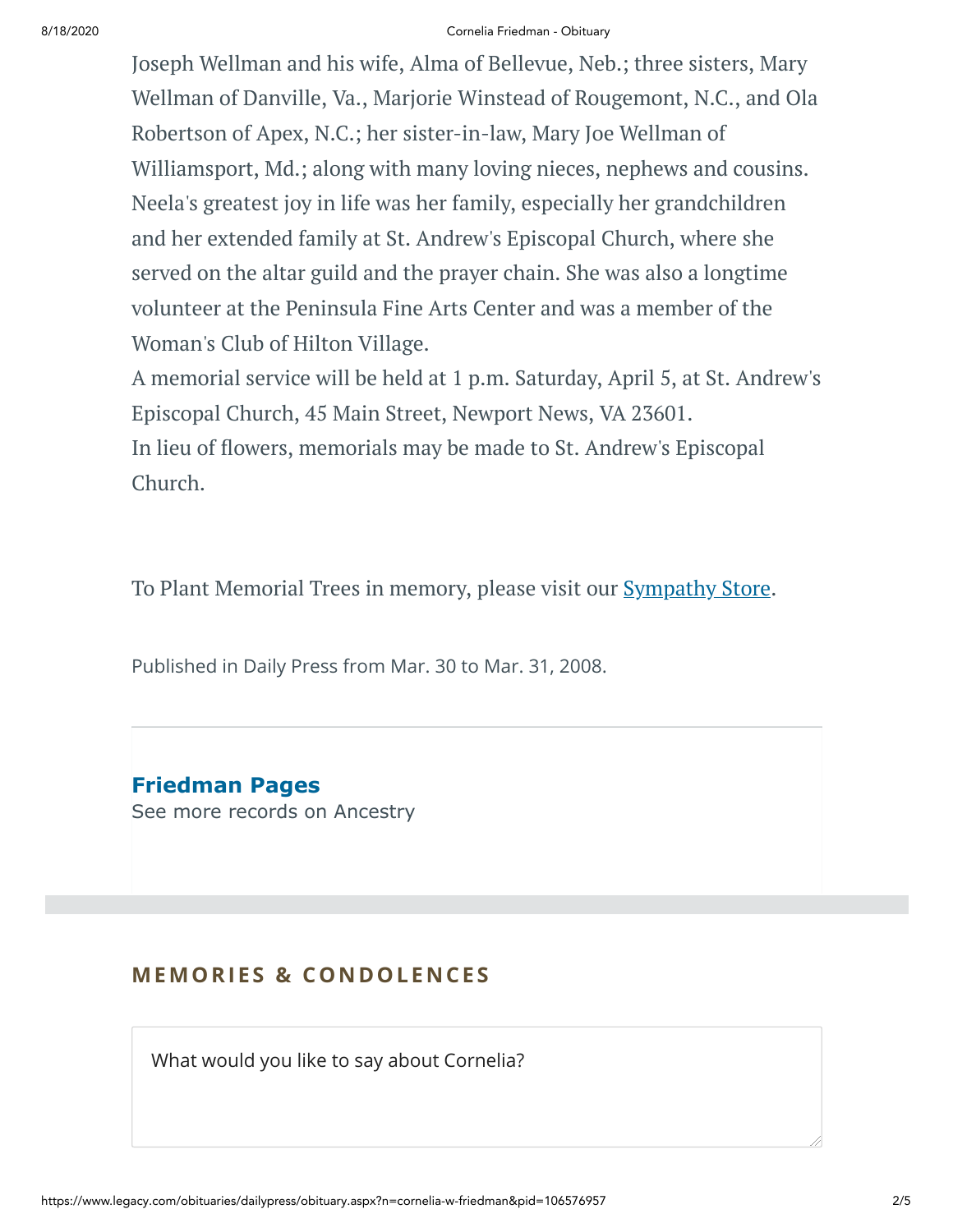### 8/18/2020 Cornelia Friedman - Obituary

Joseph Wellman and his wife, Alma of Bellevue, Neb.; three sisters, Mary Wellman of Danville, Va., Marjorie Winstead of Rougemont, N.C., and Ola Robertson of Apex, N.C.; her sister-in-law, Mary Joe Wellman of Williamsport, Md.; along with many loving nieces, nephews and cousins. Neela's greatest joy in life was her family, especially her grandchildren and her extended family at St. Andrew's Episcopal Church, where she served on the altar guild and the prayer chain. She was also a longtime volunteer at the Peninsula Fine Arts Center and was a member of the Woman's Club of Hilton Village.

A memorial service will be held at 1 p.m. Saturday, April 5, at St. Andrew's Episcopal Church, 45 Main Street, Newport News, VA 23601. In lieu of flowers, memorials may be made to St. Andrew's Episcopal Church.

To Plant Memorial Trees in memory, please visit our **[Sympathy](https://sympathy.legacy.com/en-us/funeral-flowers/name/cornelia-friedman-funeral-flowers/p106576957/?affiliateId=340&pm=240) Store**.

Published in Daily Press from Mar. 30 to Mar. 31, 2008.

**Friedman Pages** [See more records on Ancestry](https://adclick.g.doubleclick.net/pcs/click?xai=AKAOjsvUX6LPEkDTSSdmn6coq25y8mWrjSZIMInA3wBg_7J4rghs9GYlODBPJQxa-Aslwm3XSiawcuO9ZXieFiBx-0xUscZDoPTJYdC68Ydyn2gssIVp7xx3H_HQJrU86ksAxSDXg-VDfKLf_gdD2EECelqizGEncIjoI36wAoTm9XgUydtunVaDlvpNC2oWd61UlBswUVVQHU5OAA3qOlRJR7ACb4ew6uRdM8UTY3QoJKk8hgbswSFXqKFz_0Kb5jOKDhV05ZpQ15WzzSI5h5cL0PoVgYbIfAfLeRkoFYe-r8h2lPKN7smBkA&sig=Cg0ArKJSzKVhKWdB_qLOEAE&urlfix=1&adurl=https://prf.hn/click/camref:1101l3yjc/adref:77841/destination:https://www.ancestry.com/cs/partner-records%3FflowId%3DpartnersBirth%26gsfn%3DCornelia%26gsln%3DFriedman)

# **MEMORIES & CO N DOLE N CES**

What would you like to say about Cornelia?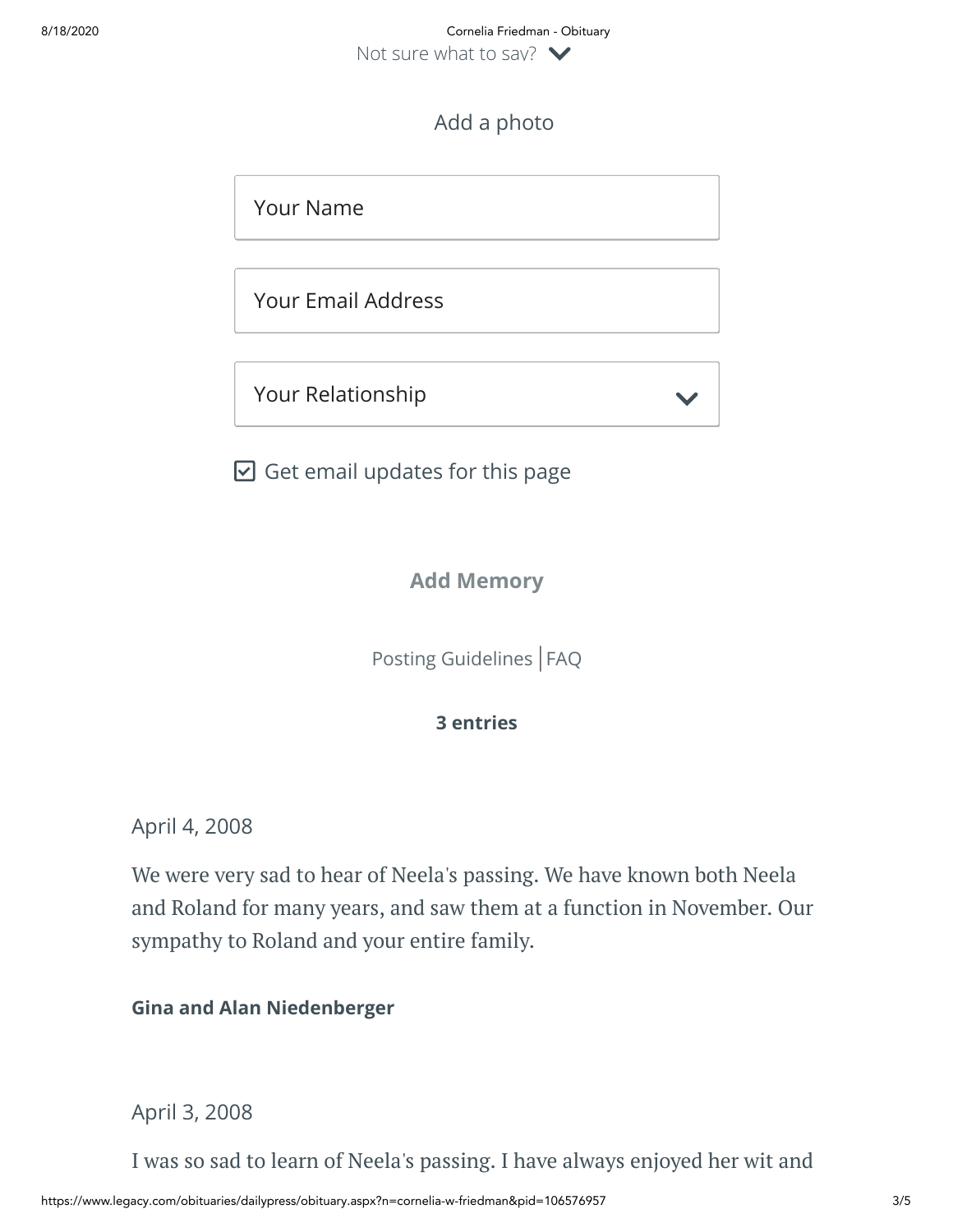# Add a photo

Your Name

Your Email Address

Your Relationship

 $\boxdot$  Get email updates for this page

**Add Memory**

[Posting Guidelines](https://www.legacy.com/guestbooks/posting-guidelines.aspx?n=Cornelia-Friedman&pid=106576957) | [FAQ](https://www.legacy.com/guestbooks/faq.aspx?n=Cornelia-Friedman&pid=106576957)

**3 entries**

April 4, 2008

We were very sad to hear of Neela's passing. We have known both Neela and Roland for many years, and saw them at a function in November. Our sympathy to Roland and your entire family.

**Gina and Alan Niedenberger**

April 3, 2008

I was so sad to learn of Neela's passing. I have always enjoyed her wit and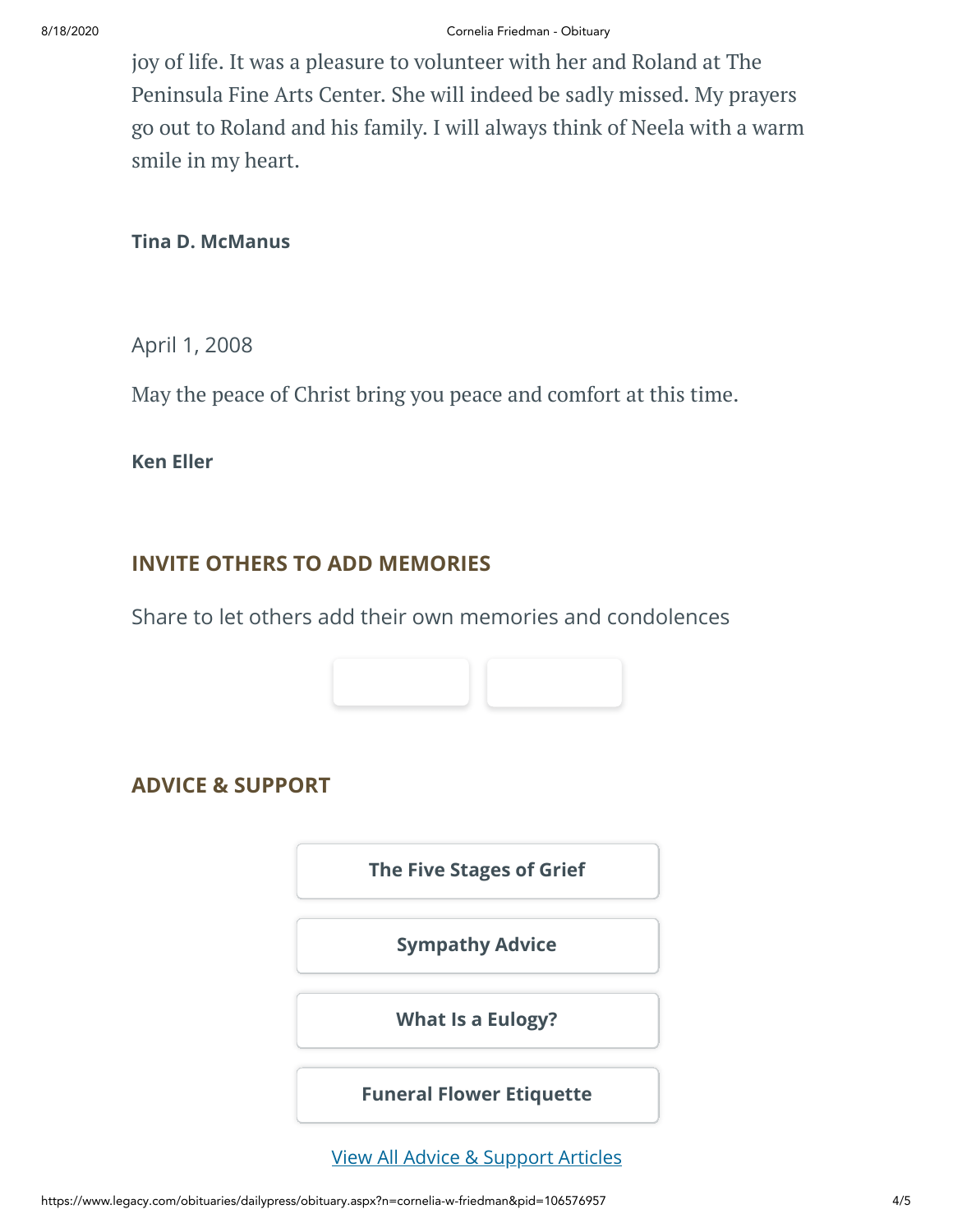joy of life. It was a pleasure to volunteer with her and Roland at The Peninsula Fine Arts Center. She will indeed be sadly missed. My prayers go out to Roland and his family. I will always think of Neela with a warm smile in my heart.

## **Tina D. McManus**

April 1, 2008

May the peace of Christ bring you peace and comfort at this time.

**Ken Eller**

# **INVITE OTHERS TO ADD MEMORIES**

Share to let others add their own memories and condolences



# **ADVICE & SUPPORT**

**[The Five Stages of Grief](https://www.legacy.com/news/advice-and-support/article/the-five-stages-of-grief)**

**[Sympathy Advice](https://www.legacy.com/news/advice-and-support/article/sympathy-and-condolence-advice)**

**[What Is a Eulogy?](https://www.legacy.com/news/advice-and-support/article/what-is-a-eulogy)**

**[Funeral Flower Etiquette](https://sympathy.legacy.com//en-us/funeral-flowers/article/funeral-flower-etiquette/)**

[View All Advice & Support Articles](http://www.legacy.com/news/advice-and-support)